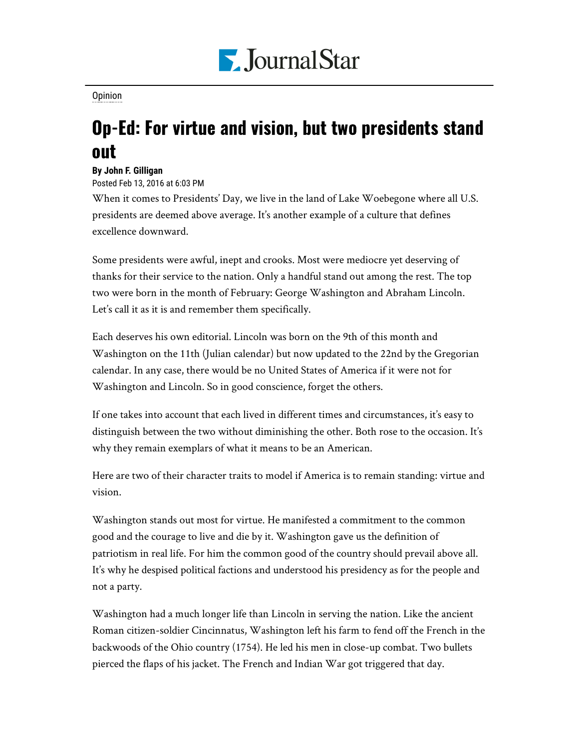

[Opinion](https://www.pjstar.com/search?text=Opinion)

## Op-Ed: For virtue and vision, but two presidents stand out

## **By John F. Gilligan**

Posted Feb 13, 2016 at 6:03 PM

When it comes to Presidents' Day, we live in the land of Lake Woebegone where all U.S. presidents are deemed above average. It's another example of a culture that defines excellence downward.

Some presidents were awful, inept and crooks. Most were mediocre yet deserving of thanks for their service to the nation. Only a handful stand out among the rest. The top two were born in the month of February: George Washington and Abraham Lincoln. Let's call it as it is and remember them specifically.

Each deserves his own editorial. Lincoln was born on the 9th of this month and Washington on the 11th (Julian calendar) but now updated to the 22nd by the Gregorian calendar. In any case, there would be no United States of America if it were not for Washington and Lincoln. So in good conscience, forget the others.

If one takes into account that each lived in different times and circumstances, it's easy to distinguish between the two without diminishing the other. Both rose to the occasion. It's why they remain exemplars of what it means to be an American.

Here are two of their character traits to model if America is to remain standing: virtue and vision.

Washington stands out most for virtue. He manifested a commitment to the common good and the courage to live and die by it. Washington gave us the definition of patriotism in real life. For him the common good of the country should prevail above all. It's why he despised political factions and understood his presidency as for the people and not a party.

Washington had a much longer life than Lincoln in serving the nation. Like the ancient Roman citizen-soldier Cincinnatus, Washington left his farm to fend off the French in the backwoods of the Ohio country (1754). He led his men in close-up combat. Two bullets pierced the flaps of his jacket. The French and Indian War got triggered that day.